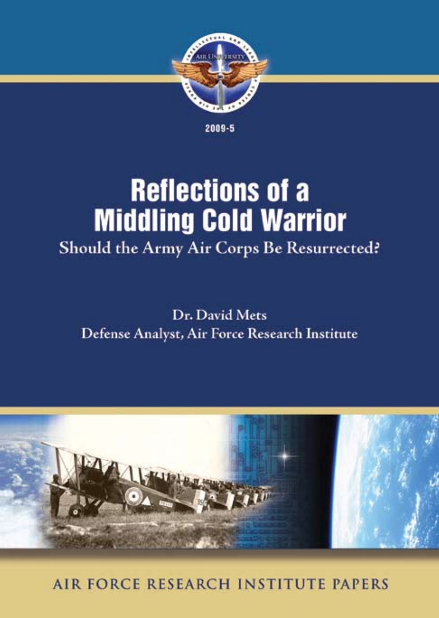

2009-5

# **Reflections of a Middling Cold Warrior** Should the Army Air Corps Be Resurrected?

Dr. David Mets Defense Analyst, Air Force Research Institute



AIR FORCE RESEARCH INSTITUTE PAPERS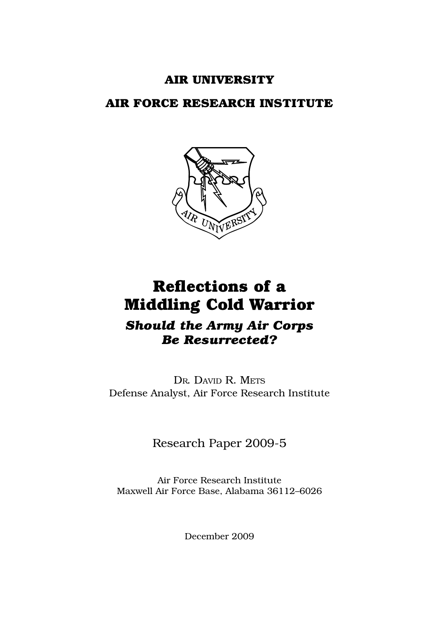## **Air University**

## **AIR FORCE RESEARCH INSTITUTE**



## **Reflections of a Middling Cold Warrior**

## *Should the Army Air Corps Be Resurrected?*

Dr. David R. Mets Defense Analyst, Air Force Research Institute

Research Paper 2009-5

Air Force Research Institute Maxwell Air Force Base, Alabama 36112–6026

December 2009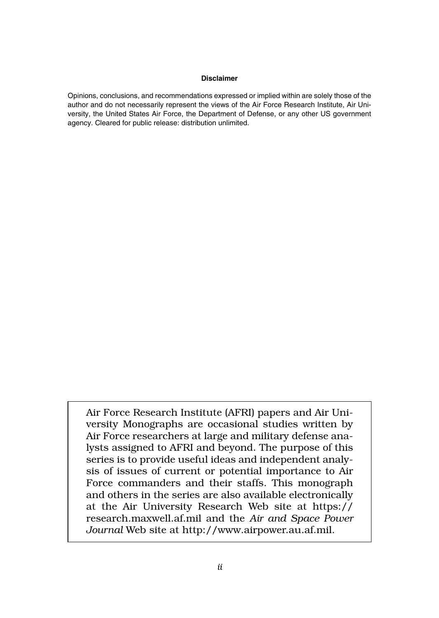#### **Disclaimer**

Opinions, conclusions, and recommendations expressed or implied within are solely those of the author and do not necessarily represent the views of the Air Force Research Institute, Air University, the United States Air Force, the Department of Defense, or any other US government agency. Cleared for public release: distribution unlimited.

Air Force Research Institute (AFRI) papers and Air University Monographs are occasional studies written by Air Force researchers at large and military defense analysts assigned to AFRI and beyond. The purpose of this series is to provide useful ideas and independent analysis of issues of current or potential importance to Air Force commanders and their staffs. This monograph and others in the series are also available electronically at the Air University Research Web site at https:// research.maxwell.af.mil and the *Air and Space Power Journal* Web site at http://www.airpower.au.af.mil.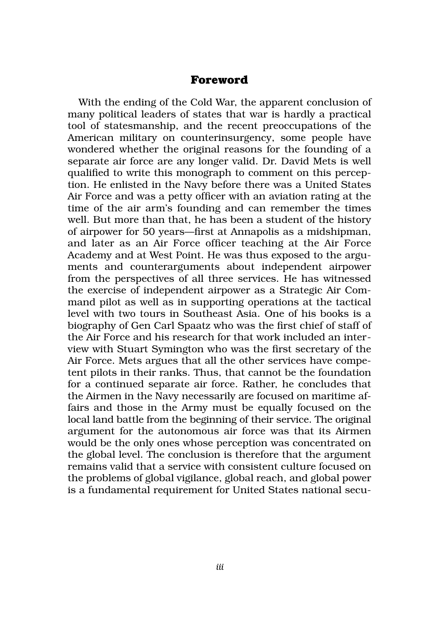#### **Foreword**

With the ending of the Cold War, the apparent conclusion of many political leaders of states that war is hardly a practical tool of statesmanship, and the recent preoccupations of the American military on counterinsurgency, some people have wondered whether the original reasons for the founding of a separate air force are any longer valid. Dr. David Mets is well qualified to write this monograph to comment on this perception. He enlisted in the Navy before there was a United States Air Force and was a petty officer with an aviation rating at the time of the air arm's founding and can remember the times well. But more than that, he has been a student of the history of airpower for 50 years—first at Annapolis as a midshipman, and later as an Air Force officer teaching at the Air Force Academy and at West Point. He was thus exposed to the arguments and counterarguments about independent airpower from the perspectives of all three services. He has witnessed the exercise of independent airpower as a Strategic Air Command pilot as well as in supporting operations at the tactical level with two tours in Southeast Asia. One of his books is a biography of Gen Carl Spaatz who was the first chief of staff of the Air Force and his research for that work included an interview with Stuart Symington who was the first secretary of the Air Force. Mets argues that all the other services have competent pilots in their ranks. Thus, that cannot be the foundation for a continued separate air force. Rather, he concludes that the Airmen in the Navy necessarily are focused on maritime affairs and those in the Army must be equally focused on the local land battle from the beginning of their service. The original argument for the autonomous air force was that its Airmen would be the only ones whose perception was concentrated on the global level. The conclusion is therefore that the argument remains valid that a service with consistent culture focused on the problems of global vigilance, global reach, and global power is a fundamental requirement for United States national secu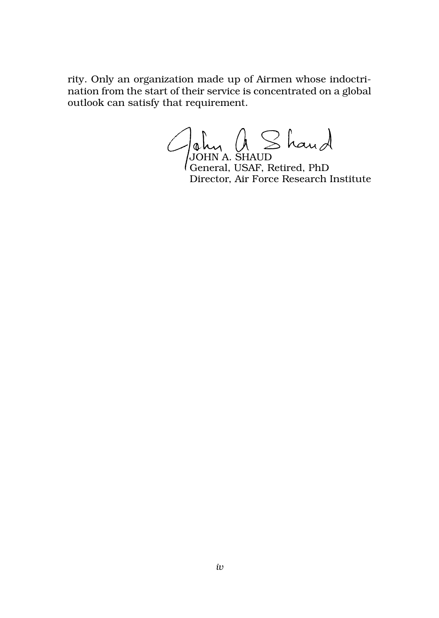rity. Only an organization made up of Airmen whose indoctrination from the start of their service is concentrated on a global outlook can satisfy that requirement.

JOHN A. SHAUD

General, USAF, Retired, PhD Director, Air Force Research Institute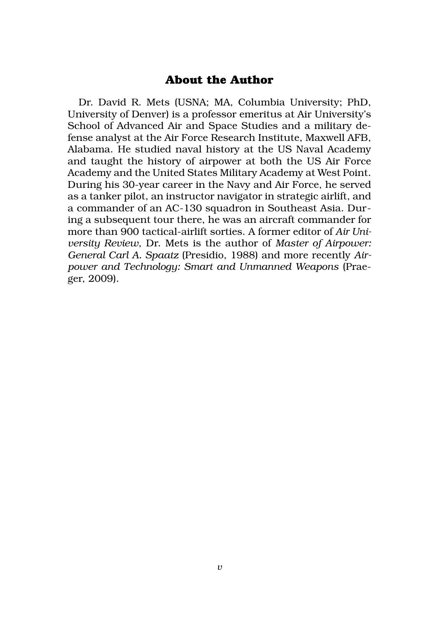#### **About the Author**

Dr. David R. Mets (USNA; MA, Columbia University; PhD, University of Denver) is a professor emeritus at Air University's School of Advanced Air and Space Studies and a military defense analyst at the Air Force Research Institute, Maxwell AFB, Alabama. He studied naval history at the US Naval Academy and taught the history of airpower at both the US Air Force Academy and the United States Military Academy at West Point. During his 30-year career in the Navy and Air Force, he served as a tanker pilot, an instructor navigator in strategic airlift, and a commander of an AC-130 squadron in Southeast Asia. During a subsequent tour there, he was an aircraft commander for more than 900 tactical-airlift sorties. A former editor of *Air University Review*, Dr. Mets is the author of *Master of Airpower: General Carl A. Spaatz* (Presidio, 1988) and more recently *Airpower and Technology: Smart and Unmanned Weapons* (Praeger, 2009).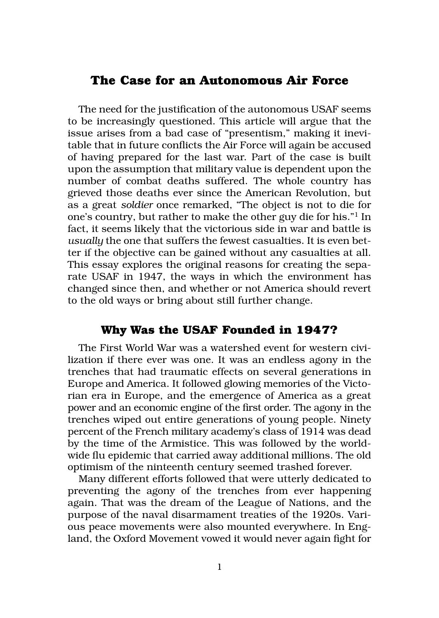#### **The Case for an Autonomous Air Force**

The need for the justification of the autonomous USAF seems to be increasingly questioned. This article will argue that the issue arises from a bad case of "presentism," making it inevitable that in future conflicts the Air Force will again be accused of having prepared for the last war. Part of the case is built upon the assumption that military value is dependent upon the number of combat deaths suffered. The whole country has grieved those deaths ever since the American Revolution, but as a great *soldier* once remarked, "The object is not to die for one's country, but rather to make the other guy die for his."1 In fact, it seems likely that the victorious side in war and battle is *usually* the one that suffers the fewest casualties. It is even better if the objective can be gained without any casualties at all. This essay explores the original reasons for creating the separate USAF in 1947, the ways in which the environment has changed since then, and whether or not America should revert to the old ways or bring about still further change.

#### **Why Was the USAF Founded in 1947?**

The First World War was a watershed event for western civilization if there ever was one. It was an endless agony in the trenches that had traumatic effects on several generations in Europe and America. It followed glowing memories of the Victorian era in Europe, and the emergence of America as a great power and an economic engine of the first order. The agony in the trenches wiped out entire generations of young people. Ninety percent of the French military academy's class of 1914 was dead by the time of the Armistice. This was followed by the worldwide flu epidemic that carried away additional millions. The old optimism of the ninteenth century seemed trashed forever.

Many different efforts followed that were utterly dedicated to preventing the agony of the trenches from ever happening again. That was the dream of the League of Nations, and the purpose of the naval disarmament treaties of the 1920s. Various peace movements were also mounted everywhere. In England, the Oxford Movement vowed it would never again fight for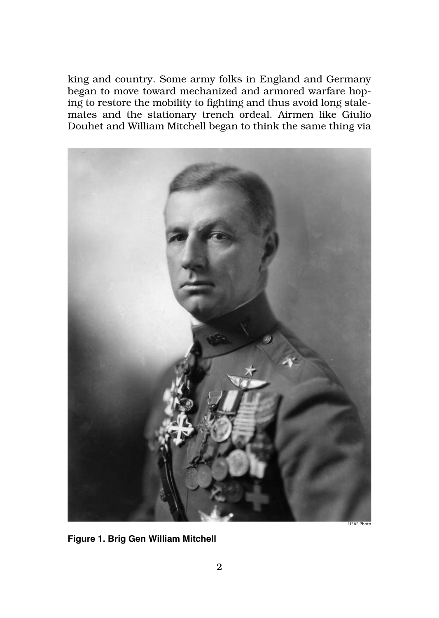king and country. Some army folks in England and Germany began to move toward mechanized and armored warfare hoping to restore the mobility to fighting and thus avoid long stalemates and the stationary trench ordeal. Airmen like Giulio Douhet and William Mitchell began to think the same thing via



**Figure 1. Brig Gen William Mitchell**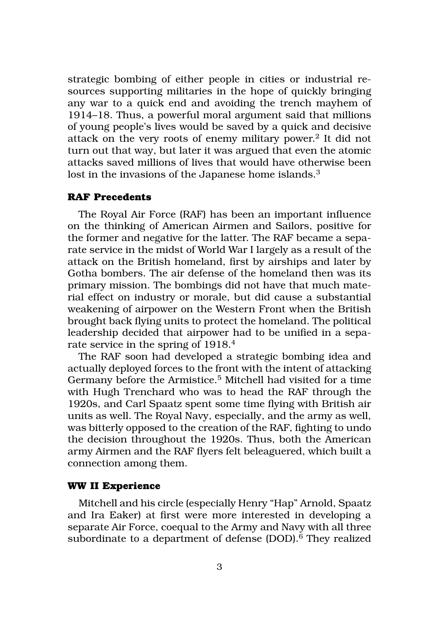strategic bombing of either people in cities or industrial resources supporting militaries in the hope of quickly bringing any war to a quick end and avoiding the trench mayhem of 1914–18. Thus, a powerful moral argument said that millions of young people's lives would be saved by a quick and decisive attack on the very roots of enemy military power.2 It did not turn out that way, but later it was argued that even the atomic attacks saved millions of lives that would have otherwise been lost in the invasions of the Japanese home islands.<sup>3</sup>

#### **RAF Precedents**

The Royal Air Force (RAF) has been an important influence on the thinking of American Airmen and Sailors, positive for the former and negative for the latter. The RAF became a separate service in the midst of World War I largely as a result of the attack on the British homeland, first by airships and later by Gotha bombers. The air defense of the homeland then was its primary mission. The bombings did not have that much material effect on industry or morale, but did cause a substantial weakening of airpower on the Western Front when the British brought back flying units to protect the homeland. The political leadership decided that airpower had to be unified in a separate service in the spring of 1918.<sup>4</sup>

The RAF soon had developed a strategic bombing idea and actually deployed forces to the front with the intent of attacking Germany before the Armistice.<sup>5</sup> Mitchell had visited for a time with Hugh Trenchard who was to head the RAF through the 1920s, and Carl Spaatz spent some time flying with British air units as well. The Royal Navy, especially, and the army as well, was bitterly opposed to the creation of the RAF, fighting to undo the decision throughout the 1920s. Thus, both the American army Airmen and the RAF flyers felt beleaguered, which built a connection among them.

#### **WW II Experience**

Mitchell and his circle (especially Henry "Hap" Arnold, Spaatz and Ira Eaker) at first were more interested in developing a separate Air Force, coequal to the Army and Navy with all three subordinate to a department of defense (DOD).<sup>6</sup> They realized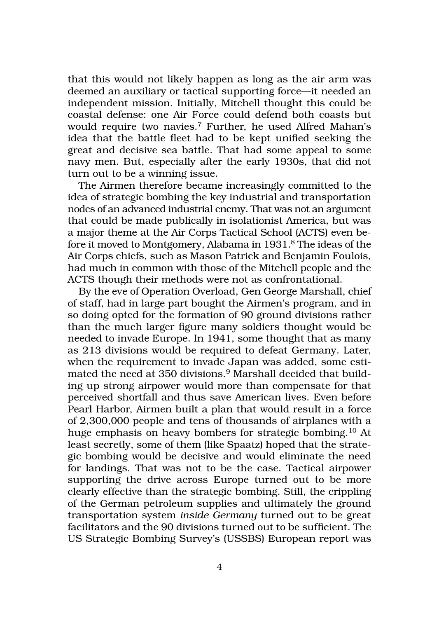that this would not likely happen as long as the air arm was deemed an auxiliary or tactical supporting force—it needed an independent mission. Initially, Mitchell thought this could be coastal defense: one Air Force could defend both coasts but would require two navies.7 Further, he used Alfred Mahan's idea that the battle fleet had to be kept unified seeking the great and decisive sea battle. That had some appeal to some navy men. But, especially after the early 1930s, that did not turn out to be a winning issue.

The Airmen therefore became increasingly committed to the idea of strategic bombing the key industrial and transportation nodes of an advanced industrial enemy. That was not an argument that could be made publically in isolationist America, but was a major theme at the Air Corps Tactical School (ACTS) even before it moved to Montgomery, Alabama in 1931. 8 The ideas of the Air Corps chiefs, such as Mason Patrick and Benjamin Foulois, had much in common with those of the Mitchell people and the ACTS though their methods were not as confrontational.

By the eve of Operation Overload, Gen George Marshall, chief of staff, had in large part bought the Airmen's program, and in so doing opted for the formation of 90 ground divisions rather than the much larger figure many soldiers thought would be needed to invade Europe. In 1941, some thought that as many as 213 divisions would be required to defeat Germany. Later, when the requirement to invade Japan was added, some estimated the need at 350 divisions.9 Marshall decided that building up strong airpower would more than compensate for that perceived shortfall and thus save American lives. Even before Pearl Harbor, Airmen built a plan that would result in a force of 2,300,000 people and tens of thousands of airplanes with a huge emphasis on heavy bombers for strategic bombing.10 At least secretly, some of them (like Spaatz) hoped that the strategic bombing would be decisive and would eliminate the need for landings. That was not to be the case. Tactical airpower supporting the drive across Europe turned out to be more clearly effective than the strategic bombing. Still, the crippling of the German petroleum supplies and ultimately the ground transportation system *inside Germany* turned out to be great facilitators and the 90 divisions turned out to be sufficient. The US Strategic Bombing Survey's (USSBS) European report was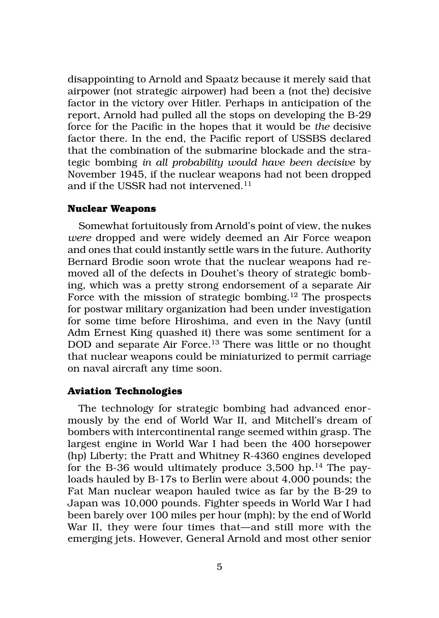disappointing to Arnold and Spaatz because it merely said that airpower (not strategic airpower) had been a (not the) decisive factor in the victory over Hitler. Perhaps in anticipation of the report, Arnold had pulled all the stops on developing the B-29 force for the Pacific in the hopes that it would be *the* decisive factor there. In the end, the Pacific report of USSBS declared that the combination of the submarine blockade and the strategic bombing *in all probability would have been decisive* by November 1945, if the nuclear weapons had not been dropped and if the USSR had not intervened.<sup>11</sup>

#### **Nuclear Weapons**

Somewhat fortuitously from Arnold's point of view, the nukes *were* dropped and were widely deemed an Air Force weapon and ones that could instantly settle wars in the future. Authority Bernard Brodie soon wrote that the nuclear weapons had removed all of the defects in Douhet's theory of strategic bombing, which was a pretty strong endorsement of a separate Air Force with the mission of strategic bombing.<sup>12</sup> The prospects for postwar military organization had been under investigation for some time before Hiroshima, and even in the Navy (until Adm Ernest King quashed it) there was some sentiment for a DOD and separate Air Force.<sup>13</sup> There was little or no thought that nuclear weapons could be miniaturized to permit carriage on naval aircraft any time soon.

#### **Aviation Technologies**

The technology for strategic bombing had advanced enormously by the end of World War II, and Mitchell's dream of bombers with intercontinental range seemed within grasp. The largest engine in World War I had been the 400 horsepower (hp) Liberty; the Pratt and Whitney R-4360 engines developed for the B-36 would ultimately produce  $3,500$  hp.<sup>14</sup> The payloads hauled by B-17s to Berlin were about 4,000 pounds; the Fat Man nuclear weapon hauled twice as far by the B-29 to Japan was 10,000 pounds. Fighter speeds in World War I had been barely over 100 miles per hour (mph); by the end of World War II, they were four times that—and still more with the emerging jets. However, General Arnold and most other senior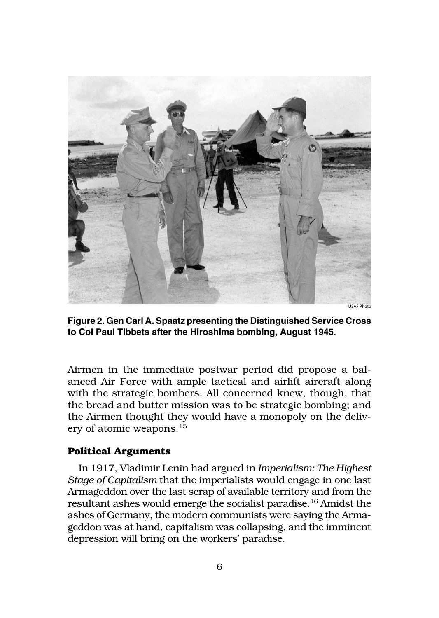

**Figure 2. Gen Carl A. Spaatz presenting the Distinguished Service Cross to Col Paul Tibbets after the Hiroshima bombing, August 1945**.

Airmen in the immediate postwar period did propose a balanced Air Force with ample tactical and airlift aircraft along with the strategic bombers. All concerned knew, though, that the bread and butter mission was to be strategic bombing; and the Airmen thought they would have a monopoly on the delivery of atomic weapons.15

#### **Political Arguments**

In 1917, Vladimir Lenin had argued in *Imperialism: The Highest Stage of Capitalism* that the imperialists would engage in one last Armageddon over the last scrap of available territory and from the resultant ashes would emerge the socialist paradise.16 Amidst the ashes of Germany, the modern communists were saying the Armageddon was at hand, capitalism was collapsing, and the imminent depression will bring on the workers' paradise.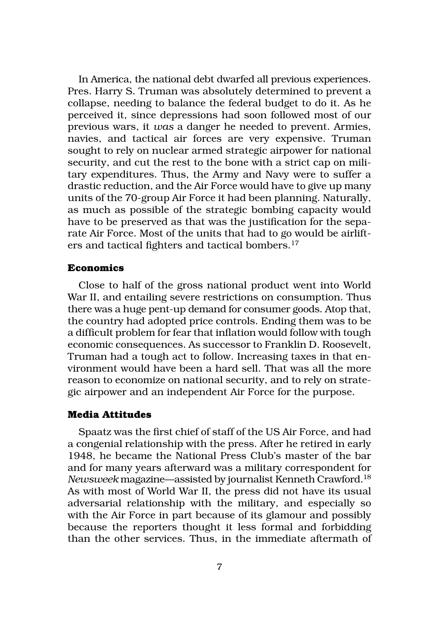In America, the national debt dwarfed all previous experiences. Pres. Harry S. Truman was absolutely determined to prevent a collapse, needing to balance the federal budget to do it. As he perceived it, since depressions had soon followed most of our previous wars, it *was* a danger he needed to prevent. Armies, navies, and tactical air forces are very expensive. Truman sought to rely on nuclear armed strategic airpower for national security, and cut the rest to the bone with a strict cap on military expenditures. Thus, the Army and Navy were to suffer a drastic reduction, and the Air Force would have to give up many units of the 70-group Air Force it had been planning. Naturally, as much as possible of the strategic bombing capacity would have to be preserved as that was the justification for the separate Air Force. Most of the units that had to go would be airlifters and tactical fighters and tactical bombers.<sup>17</sup>

#### **Economics**

Close to half of the gross national product went into World War II, and entailing severe restrictions on consumption. Thus there was a huge pent-up demand for consumer goods. Atop that, the country had adopted price controls. Ending them was to be a difficult problem for fear that inflation would follow with tough economic consequences. As successor to Franklin D. Roosevelt, Truman had a tough act to follow. Increasing taxes in that environment would have been a hard sell. That was all the more reason to economize on national security, and to rely on strategic airpower and an independent Air Force for the purpose.

#### **Media Attitudes**

Spaatz was the first chief of staff of the US Air Force, and had a congenial relationship with the press. After he retired in early 1948, he became the National Press Club's master of the bar and for many years afterward was a military correspondent for *Newsweek* magazine—assisted by journalist Kenneth Crawford.18 As with most of World War II, the press did not have its usual adversarial relationship with the military, and especially so with the Air Force in part because of its glamour and possibly because the reporters thought it less formal and forbidding than the other services. Thus, in the immediate aftermath of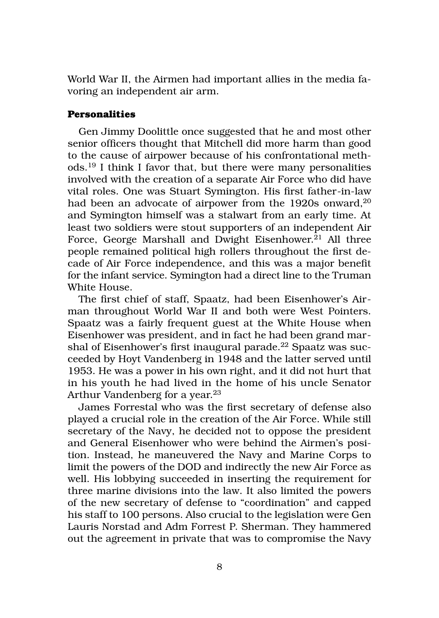World War II, the Airmen had important allies in the media favoring an independent air arm.

#### **Personalities**

Gen Jimmy Doolittle once suggested that he and most other senior officers thought that Mitchell did more harm than good to the cause of airpower because of his confrontational methods.19 I think I favor that, but there were many personalities involved with the creation of a separate Air Force who did have vital roles. One was Stuart Symington. His first father-in-law had been an advocate of airpower from the 1920s onward,<sup>20</sup> and Symington himself was a stalwart from an early time. At least two soldiers were stout supporters of an independent Air Force, George Marshall and Dwight Eisenhower.<sup>21</sup> All three people remained political high rollers throughout the first decade of Air Force independence, and this was a major benefit for the infant service. Symington had a direct line to the Truman White House.

The first chief of staff, Spaatz, had been Eisenhower's Airman throughout World War II and both were West Pointers. Spaatz was a fairly frequent guest at the White House when Eisenhower was president, and in fact he had been grand marshal of Eisenhower's first inaugural parade.<sup>22</sup> Spaatz was succeeded by Hoyt Vandenberg in 1948 and the latter served until 1953. He was a power in his own right, and it did not hurt that in his youth he had lived in the home of his uncle Senator Arthur Vandenberg for a year.<sup>23</sup>

James Forrestal who was the first secretary of defense also played a crucial role in the creation of the Air Force. While still secretary of the Navy, he decided not to oppose the president and General Eisenhower who were behind the Airmen's position. Instead, he maneuvered the Navy and Marine Corps to limit the powers of the DOD and indirectly the new Air Force as well. His lobbying succeeded in inserting the requirement for three marine divisions into the law. It also limited the powers of the new secretary of defense to "coordination" and capped his staff to 100 persons. Also crucial to the legislation were Gen Lauris Norstad and Adm Forrest P. Sherman. They hammered out the agreement in private that was to compromise the Navy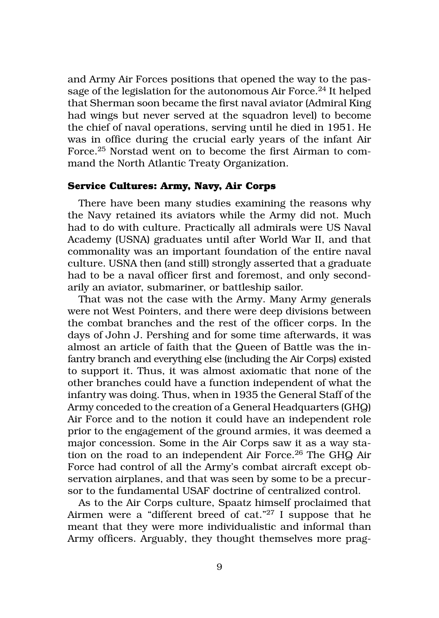and Army Air Forces positions that opened the way to the passage of the legislation for the autonomous Air Force.<sup>24</sup> It helped that Sherman soon became the first naval aviator (Admiral King had wings but never served at the squadron level) to become the chief of naval operations, serving until he died in 1951. He was in office during the crucial early years of the infant Air Force.25 Norstad went on to become the first Airman to command the North Atlantic Treaty Organization.

#### **Service Cultures: Army, Navy, Air Corps**

There have been many studies examining the reasons why the Navy retained its aviators while the Army did not. Much had to do with culture. Practically all admirals were US Naval Academy (USNA) graduates until after World War II, and that commonality was an important foundation of the entire naval culture. USNA then (and still) strongly asserted that a graduate had to be a naval officer first and foremost, and only secondarily an aviator, submariner, or battleship sailor.

That was not the case with the Army. Many Army generals were not West Pointers, and there were deep divisions between the combat branches and the rest of the officer corps. In the days of John J. Pershing and for some time afterwards, it was almost an article of faith that the Queen of Battle was the infantry branch and everything else (including the Air Corps) existed to support it. Thus, it was almost axiomatic that none of the other branches could have a function independent of what the infantry was doing. Thus, when in 1935 the General Staff of the Army conceded to the creation of a General Headquarters (GHQ) Air Force and to the notion it could have an independent role prior to the engagement of the ground armies, it was deemed a major concession. Some in the Air Corps saw it as a way station on the road to an independent Air Force.<sup>26</sup> The GHQ Air Force had control of all the Army's combat aircraft except observation airplanes, and that was seen by some to be a precursor to the fundamental USAF doctrine of centralized control.

As to the Air Corps culture, Spaatz himself proclaimed that Airmen were a "different breed of cat."27 I suppose that he meant that they were more individualistic and informal than Army officers. Arguably, they thought themselves more prag-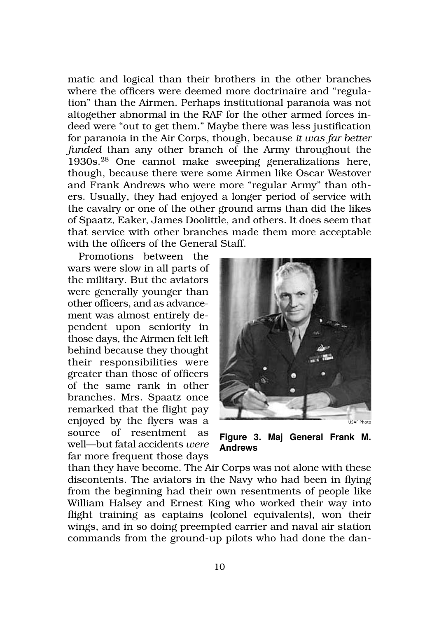matic and logical than their brothers in the other branches where the officers were deemed more doctrinaire and "regulation" than the Airmen. Perhaps institutional paranoia was not altogether abnormal in the RAF for the other armed forces indeed were "out to get them." Maybe there was less justification for paranoia in the Air Corps, though, because *it was far better funded* than any other branch of the Army throughout the 1930s.28 One cannot make sweeping generalizations here, though, because there were some Airmen like Oscar Westover and Frank Andrews who were more "regular Army" than others. Usually, they had enjoyed a longer period of service with the cavalry or one of the other ground arms than did the likes of Spaatz, Eaker, James Doolittle, and others. It does seem that that service with other branches made them more acceptable with the officers of the General Staff.

Promotions between the wars were slow in all parts of the military. But the aviators were generally younger than other officers, and as advancement was almost entirely dependent upon seniority in those days, the Airmen felt left behind because they thought their responsibilities were greater than those of officers of the same rank in other branches. Mrs. Spaatz once remarked that the flight pay enjoyed by the flyers was a source of resentment as well—but fatal accidents *were* far more frequent those days



**Figure 3. Maj General Frank M. Andrews**

than they have become. The Air Corps was not alone with these discontents. The aviators in the Navy who had been in flying from the beginning had their own resentments of people like William Halsey and Ernest King who worked their way into flight training as captains (colonel equivalents), won their wings, and in so doing preempted carrier and naval air station commands from the ground-up pilots who had done the dan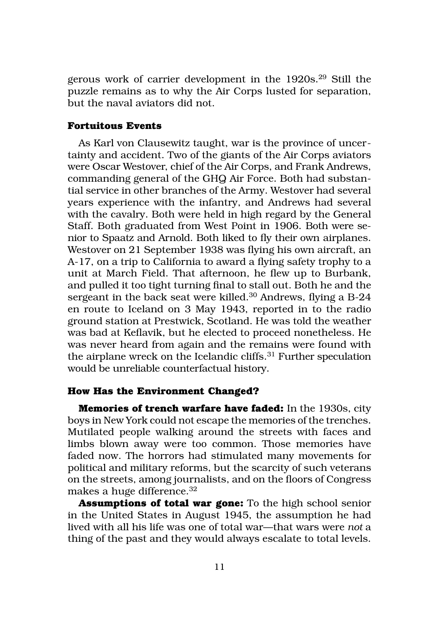gerous work of carrier development in the 1920s.29 Still the puzzle remains as to why the Air Corps lusted for separation, but the naval aviators did not.

#### **Fortuitous Events**

As Karl von Clausewitz taught, war is the province of uncertainty and accident. Two of the giants of the Air Corps aviators were Oscar Westover, chief of the Air Corps, and Frank Andrews, commanding general of the GHQ Air Force. Both had substantial service in other branches of the Army. Westover had several years experience with the infantry, and Andrews had several with the cavalry. Both were held in high regard by the General Staff. Both graduated from West Point in 1906. Both were senior to Spaatz and Arnold. Both liked to fly their own airplanes. Westover on 21 September 1938 was flying his own aircraft, an A-17, on a trip to California to award a flying safety trophy to a unit at March Field. That afternoon, he flew up to Burbank, and pulled it too tight turning final to stall out. Both he and the sergeant in the back seat were killed.<sup>30</sup> Andrews, flying a B-24 en route to Iceland on 3 May 1943, reported in to the radio ground station at Prestwick, Scotland. He was told the weather was bad at Keflavik, but he elected to proceed nonetheless. He was never heard from again and the remains were found with the airplane wreck on the Icelandic cliffs.31 Further speculation would be unreliable counterfactual history.

#### **How Has the Environment Changed?**

**Memories of trench warfare have faded:** In the 1930s, city boys in New York could not escape the memories of the trenches. Mutilated people walking around the streets with faces and limbs blown away were too common. Those memories have faded now. The horrors had stimulated many movements for political and military reforms, but the scarcity of such veterans on the streets, among journalists, and on the floors of Congress makes a huge difference.<sup>32</sup>

**Assumptions of total war gone:** To the high school senior in the United States in August 1945, the assumption he had lived with all his life was one of total war—that wars were *not* a thing of the past and they would always escalate to total levels.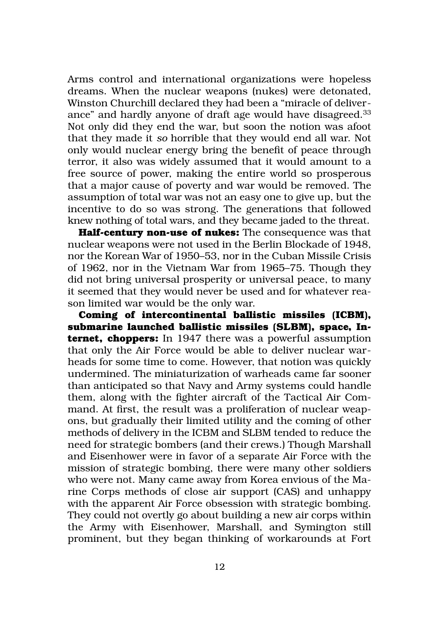Arms control and international organizations were hopeless dreams. When the nuclear weapons (nukes) were detonated, Winston Churchill declared they had been a "miracle of deliverance" and hardly anyone of draft age would have disagreed.<sup>33</sup> Not only did they end the war, but soon the notion was afoot that they made it *so* horrible that they would end all war. Not only would nuclear energy bring the benefit of peace through terror, it also was widely assumed that it would amount to a free source of power, making the entire world so prosperous that a major cause of poverty and war would be removed. The assumption of total war was not an easy one to give up, but the incentive to do so was strong. The generations that followed knew nothing of total wars, and they became jaded to the threat.

**Half-century non-use of nukes:** The consequence was that nuclear weapons were not used in the Berlin Blockade of 1948, nor the Korean War of 1950–53, nor in the Cuban Missile Crisis of 1962, nor in the Vietnam War from 1965–75. Though they did not bring universal prosperity or universal peace, to many it seemed that they would never be used and for whatever reason limited war would be the only war.

**Coming of intercontinental ballistic missiles (ICBM), submarine launched ballistic missiles (SLBM), space, Internet, choppers:** In 1947 there was a powerful assumption that only the Air Force would be able to deliver nuclear warheads for some time to come. However, that notion was quickly undermined. The miniaturization of warheads came far sooner than anticipated so that Navy and Army systems could handle them, along with the fighter aircraft of the Tactical Air Command. At first, the result was a proliferation of nuclear weapons, but gradually their limited utility and the coming of other methods of delivery in the ICBM and SLBM tended to reduce the need for strategic bombers (and their crews.) Though Marshall and Eisenhower were in favor of a separate Air Force with the mission of strategic bombing, there were many other soldiers who were not. Many came away from Korea envious of the Marine Corps methods of close air support (CAS) and unhappy with the apparent Air Force obsession with strategic bombing. They could not overtly go about building a new air corps within the Army with Eisenhower, Marshall, and Symington still prominent, but they began thinking of workarounds at Fort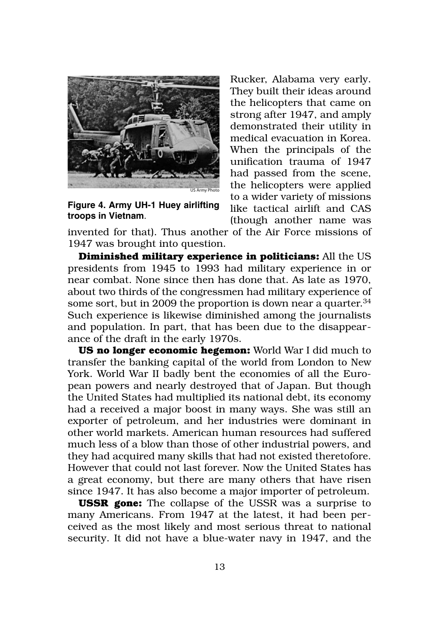

**Figure 4. Army UH-1 Huey airlifting troops in Vietnam**.

Rucker, Alabama very early. They built their ideas around the helicopters that came on strong after 1947, and amply demonstrated their utility in medical evacuation in Korea. When the principals of the unification trauma of 1947 had passed from the scene, the helicopters were applied to a wider variety of missions like tactical airlift and CAS (though another name was

invented for that). Thus another of the Air Force missions of 1947 was brought into question.

**Diminished military experience in politicians:** All the US presidents from 1945 to 1993 had military experience in or near combat. None since then has done that. As late as 1970, about two thirds of the congressmen had military experience of some sort, but in 2009 the proportion is down near a quarter.<sup>34</sup> Such experience is likewise diminished among the journalists and population. In part, that has been due to the disappearance of the draft in the early 1970s.

**US no longer economic hegemon:** World War I did much to transfer the banking capital of the world from London to New York. World War II badly bent the economies of all the European powers and nearly destroyed that of Japan. But though the United States had multiplied its national debt, its economy had a received a major boost in many ways. She was still an exporter of petroleum, and her industries were dominant in other world markets. American human resources had suffered much less of a blow than those of other industrial powers, and they had acquired many skills that had not existed theretofore. However that could not last forever. Now the United States has a great economy, but there are many others that have risen since 1947. It has also become a major importer of petroleum.

**USSR gone:** The collapse of the USSR was a surprise to many Americans. From 1947 at the latest, it had been perceived as the most likely and most serious threat to national security. It did not have a blue-water navy in 1947, and the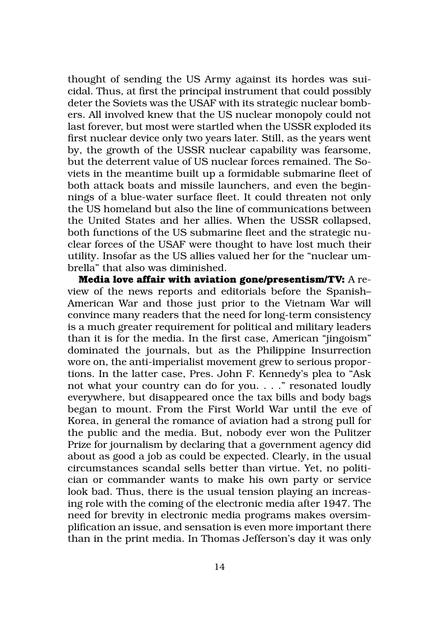thought of sending the US Army against its hordes was suicidal. Thus, at first the principal instrument that could possibly deter the Soviets was the USAF with its strategic nuclear bombers. All involved knew that the US nuclear monopoly could not last forever, but most were startled when the USSR exploded its first nuclear device only two years later. Still, as the years went by, the growth of the USSR nuclear capability was fearsome, but the deterrent value of US nuclear forces remained. The Soviets in the meantime built up a formidable submarine fleet of both attack boats and missile launchers, and even the beginnings of a blue-water surface fleet. It could threaten not only the US homeland but also the line of communications between the United States and her allies. When the USSR collapsed, both functions of the US submarine fleet and the strategic nuclear forces of the USAF were thought to have lost much their utility. Insofar as the US allies valued her for the "nuclear umbrella" that also was diminished.

**Media love affair with aviation gone/presentism/TV:** A review of the news reports and editorials before the Spanish– American War and those just prior to the Vietnam War will convince many readers that the need for long-term consistency is a much greater requirement for political and military leaders than it is for the media. In the first case, American "jingoism" dominated the journals, but as the Philippine Insurrection wore on, the anti-imperialist movement grew to serious proportions. In the latter case, Pres. John F. Kennedy's plea to "Ask not what your country can do for you. . . ." resonated loudly everywhere, but disappeared once the tax bills and body bags began to mount. From the First World War until the eve of Korea, in general the romance of aviation had a strong pull for the public and the media. But, nobody ever won the Pulitzer Prize for journalism by declaring that a government agency did about as good a job as could be expected. Clearly, in the usual circumstances scandal sells better than virtue. Yet, no politician or commander wants to make his own party or service look bad. Thus, there is the usual tension playing an increasing role with the coming of the electronic media after 1947. The need for brevity in electronic media programs makes oversimplification an issue, and sensation is even more important there than in the print media. In Thomas Jefferson's day it was only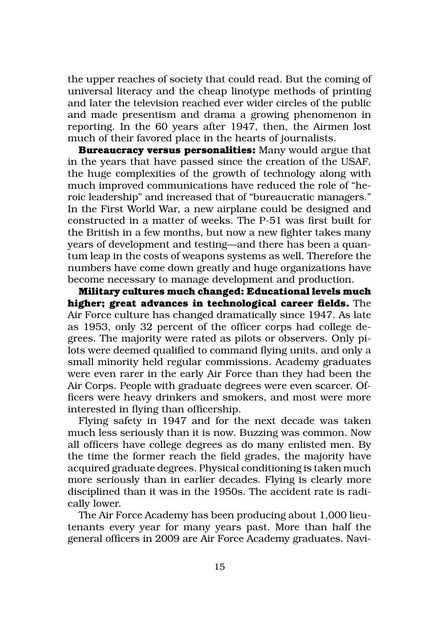the upper reaches of society that could read. But the coming of universal literacy and the cheap linotype methods of printing and later the television reached ever wider circles of the public and made presentism and drama a growing phenomenon in reporting. In the 60 years after 1947, then, the Airmen lost much of their favored place in the hearts of journalists.

**Bureaucracy versus personalities:** Many would argue that in the years that have passed since the creation of the USAF, the huge complexities of the growth of technology along with much improved communications have reduced the role of "heroic leadership" and increased that of "bureaucratic managers." In the First World War, a new airplane could be designed and constructed in a matter of weeks. The P-51 was first built for the British in a few months, but now a new fighter takes many years of development and testing—and there has been a quantum leap in the costs of weapons systems as well. Therefore the numbers have come down greatly and huge organizations have become necessary to manage development and production.

**Military cultures much changed: Educational levels much higher; great advances in technological career fields.** The Air Force culture has changed dramatically since 1947. As late as 1953, only 32 percent of the officer corps had college degrees. The majority were rated as pilots or observers. Only pilots were deemed qualified to command flying units, and only a small minority held regular commissions. Academy graduates were even rarer in the early Air Force than they had been the Air Corps. People with graduate degrees were even scarcer. Officers were heavy drinkers and smokers, and most were more interested in flying than officership.

Flying safety in 1947 and for the next decade was taken much less seriously than it is now. Buzzing was common. Now all officers have college degrees as do many enlisted men. By the time the former reach the field grades, the majority have acquired graduate degrees. Physical conditioning is taken much more seriously than in earlier decades. Flying is clearly more disciplined than it was in the 1950s. The accident rate is radically lower.

The Air Force Academy has been producing about 1,000 lieutenants every year for many years past. More than half the general officers in 2009 are Air Force Academy graduates. Navi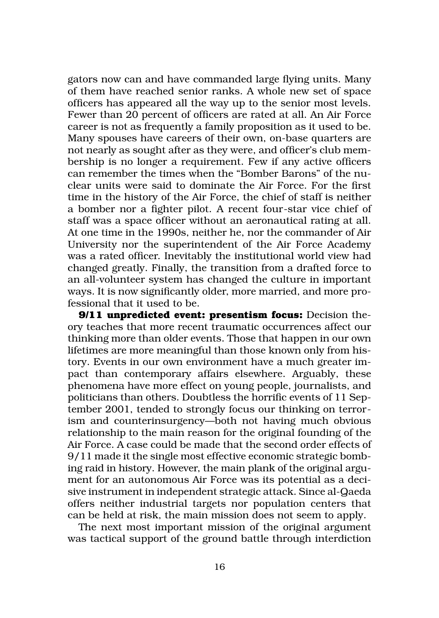gators now can and have commanded large flying units. Many of them have reached senior ranks. A whole new set of space officers has appeared all the way up to the senior most levels. Fewer than 20 percent of officers are rated at all. An Air Force career is not as frequently a family proposition as it used to be. Many spouses have careers of their own, on-base quarters are not nearly as sought after as they were, and officer's club membership is no longer a requirement. Few if any active officers can remember the times when the "Bomber Barons" of the nuclear units were said to dominate the Air Force. For the first time in the history of the Air Force, the chief of staff is neither a bomber nor a fighter pilot. A recent four-star vice chief of staff was a space officer without an aeronautical rating at all. At one time in the 1990s, neither he, nor the commander of Air University nor the superintendent of the Air Force Academy was a rated officer. Inevitably the institutional world view had changed greatly. Finally, the transition from a drafted force to an all-volunteer system has changed the culture in important ways. It is now significantly older, more married, and more professional that it used to be.

**9/11 unpredicted event: presentism focus:** Decision theory teaches that more recent traumatic occurrences affect our thinking more than older events. Those that happen in our own lifetimes are more meaningful than those known only from history. Events in our own environment have a much greater impact than contemporary affairs elsewhere. Arguably, these phenomena have more effect on young people, journalists, and politicians than others. Doubtless the horrific events of 11 September 2001, tended to strongly focus our thinking on terrorism and counterinsurgency—both not having much obvious relationship to the main reason for the original founding of the Air Force. A case could be made that the second order effects of 9/11 made it the single most effective economic strategic bombing raid in history. However, the main plank of the original argument for an autonomous Air Force was its potential as a decisive instrument in independent strategic attack. Since al-Qaeda offers neither industrial targets nor population centers that can be held at risk, the main mission does not seem to apply.

The next most important mission of the original argument was tactical support of the ground battle through interdiction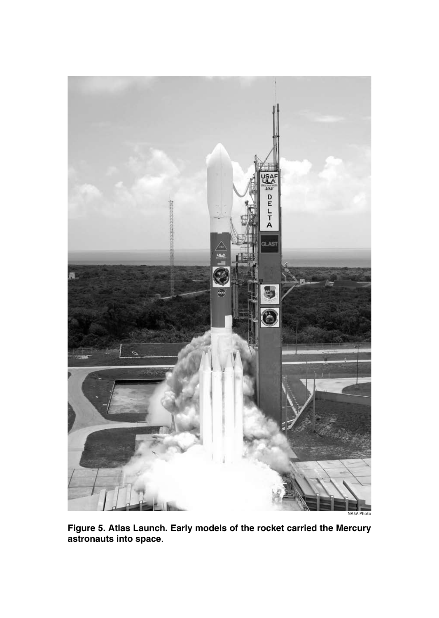

**Figure 5. Atlas Launch. Early models of the rocket carried the Mercury astronauts into space**.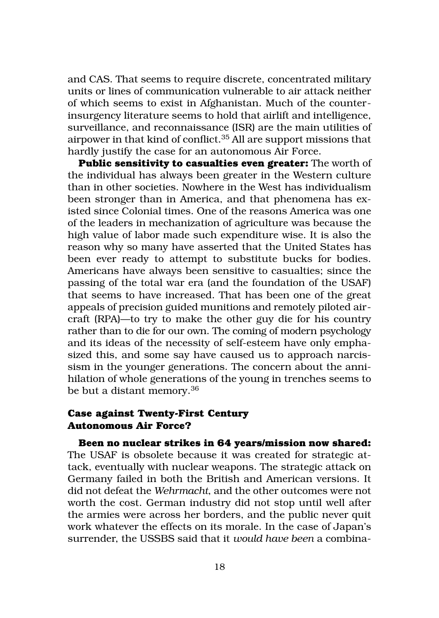and CAS. That seems to require discrete, concentrated military units or lines of communication vulnerable to air attack neither of which seems to exist in Afghanistan. Much of the counterinsurgency literature seems to hold that airlift and intelligence, surveillance, and reconnaissance (ISR) are the main utilities of airpower in that kind of conflict.35 All are support missions that hardly justify the case for an autonomous Air Force.

**Public sensitivity to casualties even greater:** The worth of the individual has always been greater in the Western culture than in other societies. Nowhere in the West has individualism been stronger than in America, and that phenomena has existed since Colonial times. One of the reasons America was one of the leaders in mechanization of agriculture was because the high value of labor made such expenditure wise. It is also the reason why so many have asserted that the United States has been ever ready to attempt to substitute bucks for bodies. Americans have always been sensitive to casualties; since the passing of the total war era (and the foundation of the USAF) that seems to have increased. That has been one of the great appeals of precision guided munitions and remotely piloted aircraft (RPA)—to try to make the other guy die for his country rather than to die for our own. The coming of modern psychology and its ideas of the necessity of self-esteem have only emphasized this, and some say have caused us to approach narcissism in the younger generations. The concern about the annihilation of whole generations of the young in trenches seems to be but a distant memory.<sup>36</sup>

#### **Case against Twenty-First Century Autonomous Air Force?**

**Been no nuclear strikes in 64 years/mission now shared:** The USAF is obsolete because it was created for strategic attack, eventually with nuclear weapons. The strategic attack on Germany failed in both the British and American versions. It did not defeat the *Wehrmacht*, and the other outcomes were not worth the cost. German industry did not stop until well after the armies were across her borders, and the public never quit work whatever the effects on its morale. In the case of Japan's surrender, the USSBS said that it *would have been* a combina-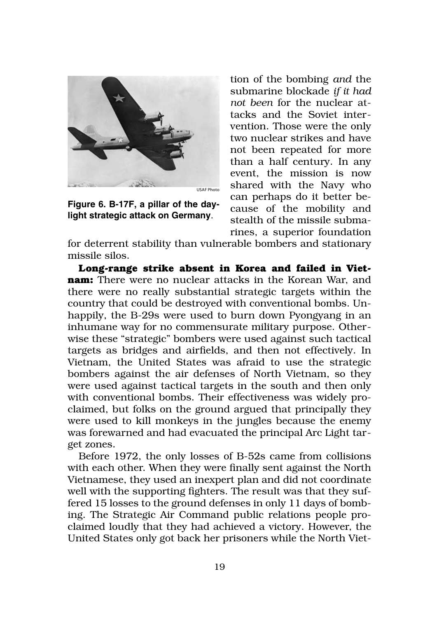

**Figure 6. B-17F, a pillar of the daylight strategic attack on Germany**.

tion of the bombing *and* the submarine blockade *if it had not been* for the nuclear attacks and the Soviet intervention. Those were the only two nuclear strikes and have not been repeated for more than a half century. In any event, the mission is now shared with the Navy who can perhaps do it better because of the mobility and stealth of the missile submarines, a superior foundation

for deterrent stability than vulnerable bombers and stationary missile silos.

**Long-range strike absent in Korea and failed in Vietnam:** There were no nuclear attacks in the Korean War, and there were no really substantial strategic targets within the country that could be destroyed with conventional bombs. Unhappily, the B-29s were used to burn down Pyongyang in an inhumane way for no commensurate military purpose. Otherwise these "strategic" bombers were used against such tactical targets as bridges and airfields, and then not effectively. In Vietnam, the United States was afraid to use the strategic bombers against the air defenses of North Vietnam, so they were used against tactical targets in the south and then only with conventional bombs. Their effectiveness was widely proclaimed, but folks on the ground argued that principally they were used to kill monkeys in the jungles because the enemy was forewarned and had evacuated the principal Arc Light target zones.

Before 1972, the only losses of B-52s came from collisions with each other. When they were finally sent against the North Vietnamese, they used an inexpert plan and did not coordinate well with the supporting fighters. The result was that they suffered 15 losses to the ground defenses in only 11 days of bombing. The Strategic Air Command public relations people proclaimed loudly that they had achieved a victory. However, the United States only got back her prisoners while the North Viet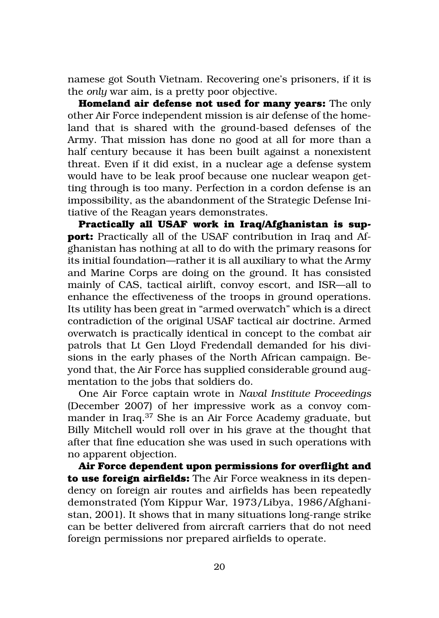namese got South Vietnam. Recovering one's prisoners, if it is the *only* war aim, is a pretty poor objective.

**Homeland air defense not used for many years:** The only other Air Force independent mission is air defense of the homeland that is shared with the ground-based defenses of the Army. That mission has done no good at all for more than a half century because it has been built against a nonexistent threat. Even if it did exist, in a nuclear age a defense system would have to be leak proof because one nuclear weapon getting through is too many. Perfection in a cordon defense is an impossibility, as the abandonment of the Strategic Defense Initiative of the Reagan years demonstrates.

**Practically all USAF work in Iraq/Afghanistan is support:** Practically all of the USAF contribution in Iraq and Afghanistan has nothing at all to do with the primary reasons for its initial foundation—rather it is all auxiliary to what the Army and Marine Corps are doing on the ground. It has consisted mainly of CAS, tactical airlift, convoy escort, and ISR—all to enhance the effectiveness of the troops in ground operations. Its utility has been great in "armed overwatch" which is a direct contradiction of the original USAF tactical air doctrine. Armed overwatch is practically identical in concept to the combat air patrols that Lt Gen Lloyd Fredendall demanded for his divisions in the early phases of the North African campaign. Beyond that, the Air Force has supplied considerable ground augmentation to the jobs that soldiers do.

One Air Force captain wrote in *Naval Institute Proceedings* (December 2007) of her impressive work as a convoy commander in Iraq.37 She is an Air Force Academy graduate, but Billy Mitchell would roll over in his grave at the thought that after that fine education she was used in such operations with no apparent objection.

**Air Force dependent upon permissions for overflight and to use foreign airfields:** The Air Force weakness in its dependency on foreign air routes and airfields has been repeatedly demonstrated (Yom Kippur War, 1973/Libya, 1986/Afghanistan, 2001). It shows that in many situations long-range strike can be better delivered from aircraft carriers that do not need foreign permissions nor prepared airfields to operate.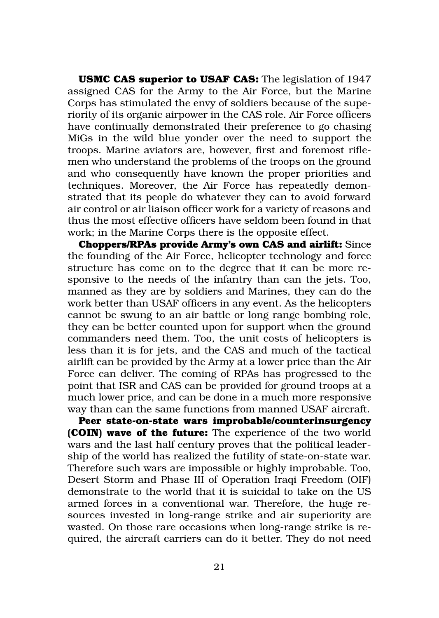**USMC CAS superior to USAF CAS:** The legislation of 1947 assigned CAS for the Army to the Air Force, but the Marine Corps has stimulated the envy of soldiers because of the superiority of its organic airpower in the CAS role. Air Force officers have continually demonstrated their preference to go chasing MiGs in the wild blue yonder over the need to support the troops. Marine aviators are, however, first and foremost riflemen who understand the problems of the troops on the ground and who consequently have known the proper priorities and techniques. Moreover, the Air Force has repeatedly demonstrated that its people do whatever they can to avoid forward air control or air liaison officer work for a variety of reasons and thus the most effective officers have seldom been found in that work; in the Marine Corps there is the opposite effect.

**Choppers/RPAs provide Army's own CAS and airlift:** Since the founding of the Air Force, helicopter technology and force structure has come on to the degree that it can be more responsive to the needs of the infantry than can the jets. Too, manned as they are by soldiers and Marines, they can do the work better than USAF officers in any event. As the helicopters cannot be swung to an air battle or long range bombing role, they can be better counted upon for support when the ground commanders need them. Too, the unit costs of helicopters is less than it is for jets, and the CAS and much of the tactical airlift can be provided by the Army at a lower price than the Air Force can deliver. The coming of RPAs has progressed to the point that ISR and CAS can be provided for ground troops at a much lower price, and can be done in a much more responsive way than can the same functions from manned USAF aircraft.

**Peer state-on-state wars improbable/counterinsurgency (COIN) wave of the future:** The experience of the two world wars and the last half century proves that the political leadership of the world has realized the futility of state-on-state war. Therefore such wars are impossible or highly improbable. Too, Desert Storm and Phase III of Operation Iraqi Freedom (OIF) demonstrate to the world that it is suicidal to take on the US armed forces in a conventional war. Therefore, the huge resources invested in long-range strike and air superiority are wasted. On those rare occasions when long-range strike is required, the aircraft carriers can do it better. They do not need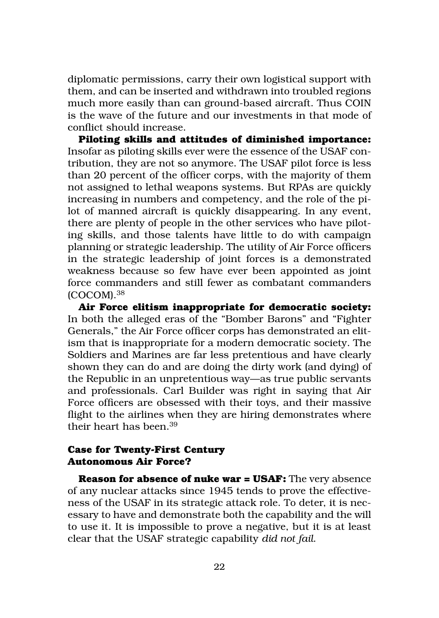diplomatic permissions, carry their own logistical support with them, and can be inserted and withdrawn into troubled regions much more easily than can ground-based aircraft. Thus COIN is the wave of the future and our investments in that mode of conflict should increase.

**Piloting skills and attitudes of diminished importance:**  Insofar as piloting skills ever were the essence of the USAF contribution, they are not so anymore. The USAF pilot force is less than 20 percent of the officer corps, with the majority of them not assigned to lethal weapons systems. But RPAs are quickly increasing in numbers and competency, and the role of the pilot of manned aircraft is quickly disappearing. In any event, there are plenty of people in the other services who have piloting skills, and those talents have little to do with campaign planning or strategic leadership. The utility of Air Force officers in the strategic leadership of joint forces is a demonstrated weakness because so few have ever been appointed as joint force commanders and still fewer as combatant commanders (COCOM).38

**Air Force elitism inappropriate for democratic society:** In both the alleged eras of the "Bomber Barons" and "Fighter Generals," the Air Force officer corps has demonstrated an elitism that is inappropriate for a modern democratic society. The Soldiers and Marines are far less pretentious and have clearly shown they can do and are doing the dirty work (and dying) of the Republic in an unpretentious way—as true public servants and professionals. Carl Builder was right in saying that Air Force officers are obsessed with their toys, and their massive flight to the airlines when they are hiring demonstrates where their heart has been.39

#### **Case for Twenty-First Century Autonomous Air Force?**

**Reason for absence of nuke war = USAF:** The very absence of any nuclear attacks since 1945 tends to prove the effectiveness of the USAF in its strategic attack role. To deter, it is necessary to have and demonstrate both the capability and the will to use it. It is impossible to prove a negative, but it is at least clear that the USAF strategic capability *did not fail*.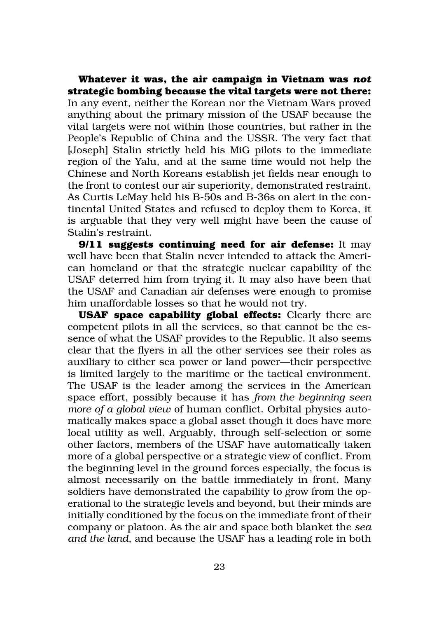**Whatever it was, the air campaign in Vietnam was** *not* **strategic bombing because the vital targets were not there:** In any event, neither the Korean nor the Vietnam Wars proved anything about the primary mission of the USAF because the vital targets were not within those countries, but rather in the People's Republic of China and the USSR. The very fact that [Joseph] Stalin strictly held his MiG pilots to the immediate region of the Yalu, and at the same time would not help the Chinese and North Koreans establish jet fields near enough to the front to contest our air superiority, demonstrated restraint. As Curtis LeMay held his B-50s and B-36s on alert in the continental United States and refused to deploy them to Korea, it is arguable that they very well might have been the cause of Stalin's restraint.

**9/11 suggests continuing need for air defense:** It may well have been that Stalin never intended to attack the American homeland or that the strategic nuclear capability of the USAF deterred him from trying it. It may also have been that the USAF and Canadian air defenses were enough to promise him unaffordable losses so that he would not try.

**USAF space capability global effects:** Clearly there are competent pilots in all the services, so that cannot be the essence of what the USAF provides to the Republic. It also seems clear that the flyers in all the other services see their roles as auxiliary to either sea power or land power—their perspective is limited largely to the maritime or the tactical environment. The USAF is the leader among the services in the American space effort, possibly because it has *from the beginning seen more of a global view* of human conflict. Orbital physics automatically makes space a global asset though it does have more local utility as well. Arguably, through self-selection or some other factors, members of the USAF have automatically taken more of a global perspective or a strategic view of conflict. From the beginning level in the ground forces especially, the focus is almost necessarily on the battle immediately in front. Many soldiers have demonstrated the capability to grow from the operational to the strategic levels and beyond, but their minds are initially conditioned by the focus on the immediate front of their company or platoon. As the air and space both blanket the *sea and the land*, and because the USAF has a leading role in both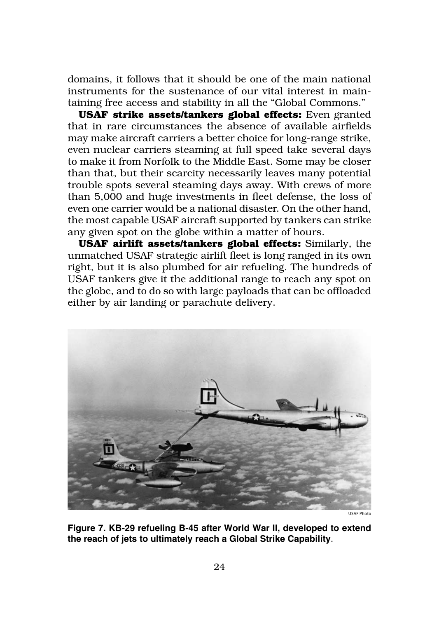domains, it follows that it should be one of the main national instruments for the sustenance of our vital interest in maintaining free access and stability in all the "Global Commons."

**USAF strike assets/tankers global effects:** Even granted that in rare circumstances the absence of available airfields may make aircraft carriers a better choice for long-range strike, even nuclear carriers steaming at full speed take several days to make it from Norfolk to the Middle East. Some may be closer than that, but their scarcity necessarily leaves many potential trouble spots several steaming days away. With crews of more than 5,000 and huge investments in fleet defense, the loss of even one carrier would be a national disaster. On the other hand, the most capable USAF aircraft supported by tankers can strike any given spot on the globe within a matter of hours.

**USAF airlift assets/tankers global effects:** Similarly, the unmatched USAF strategic airlift fleet is long ranged in its own right, but it is also plumbed for air refueling. The hundreds of USAF tankers give it the additional range to reach any spot on the globe, and to do so with large payloads that can be offloaded either by air landing or parachute delivery.



**Figure 7. KB-29 refueling B-45 after World War II, developed to extend the reach of jets to ultimately reach a Global Strike Capability**.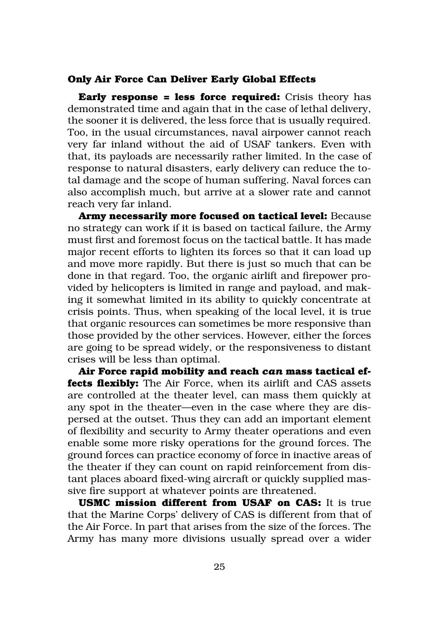#### **Only Air Force Can Deliver Early Global Effects**

**Early response = less force required:** Crisis theory has demonstrated time and again that in the case of lethal delivery, the sooner it is delivered, the less force that is usually required. Too, in the usual circumstances, naval airpower cannot reach very far inland without the aid of USAF tankers. Even with that, its payloads are necessarily rather limited. In the case of response to natural disasters, early delivery can reduce the total damage and the scope of human suffering. Naval forces can also accomplish much, but arrive at a slower rate and cannot reach very far inland.

**Army necessarily more focused on tactical level:** Because no strategy can work if it is based on tactical failure, the Army must first and foremost focus on the tactical battle. It has made major recent efforts to lighten its forces so that it can load up and move more rapidly. But there is just so much that can be done in that regard. Too, the organic airlift and firepower provided by helicopters is limited in range and payload, and making it somewhat limited in its ability to quickly concentrate at crisis points. Thus, when speaking of the local level, it is true that organic resources can sometimes be more responsive than those provided by the other services. However, either the forces are going to be spread widely, or the responsiveness to distant crises will be less than optimal.

**Air Force rapid mobility and reach** *can* **mass tactical effects flexibly:** The Air Force, when its airlift and CAS assets are controlled at the theater level, can mass them quickly at any spot in the theater—even in the case where they are dispersed at the outset. Thus they can add an important element of flexibility and security to Army theater operations and even enable some more risky operations for the ground forces. The ground forces can practice economy of force in inactive areas of the theater if they can count on rapid reinforcement from distant places aboard fixed-wing aircraft or quickly supplied massive fire support at whatever points are threatened.

**USMC mission different from USAF on CAS:** It is true that the Marine Corps' delivery of CAS is different from that of the Air Force. In part that arises from the size of the forces. The Army has many more divisions usually spread over a wider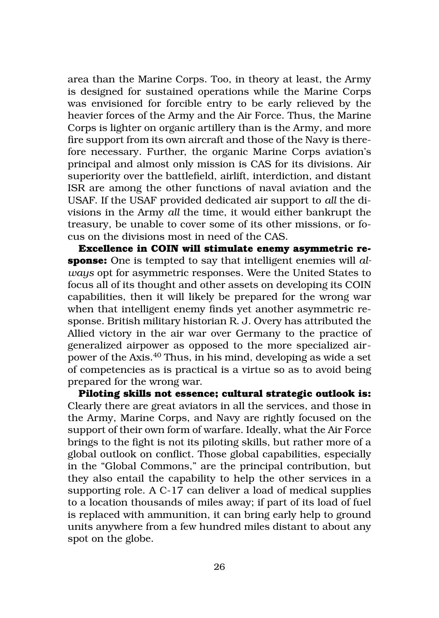area than the Marine Corps. Too, in theory at least, the Army is designed for sustained operations while the Marine Corps was envisioned for forcible entry to be early relieved by the heavier forces of the Army and the Air Force. Thus, the Marine Corps is lighter on organic artillery than is the Army, and more fire support from its own aircraft and those of the Navy is therefore necessary. Further, the organic Marine Corps aviation's principal and almost only mission is CAS for its divisions. Air superiority over the battlefield, airlift, interdiction, and distant ISR are among the other functions of naval aviation and the USAF. If the USAF provided dedicated air support to *all* the divisions in the Army *all* the time, it would either bankrupt the treasury, be unable to cover some of its other missions, or focus on the divisions most in need of the CAS.

**Excellence in COIN will stimulate enemy asymmetric response:** One is tempted to say that intelligent enemies will *always* opt for asymmetric responses. Were the United States to focus all of its thought and other assets on developing its COIN capabilities, then it will likely be prepared for the wrong war when that intelligent enemy finds yet another asymmetric response. British military historian R. J. Overy has attributed the Allied victory in the air war over Germany to the practice of generalized airpower as opposed to the more specialized airpower of the Axis.40 Thus, in his mind, developing as wide a set of competencies as is practical is a virtue so as to avoid being prepared for the wrong war.

**Piloting skills not essence; cultural strategic outlook is:** Clearly there are great aviators in all the services, and those in the Army, Marine Corps, and Navy are rightly focused on the support of their own form of warfare. Ideally, what the Air Force brings to the fight is not its piloting skills, but rather more of a global outlook on conflict. Those global capabilities, especially in the "Global Commons," are the principal contribution, but they also entail the capability to help the other services in a supporting role. A C-17 can deliver a load of medical supplies to a location thousands of miles away; if part of its load of fuel is replaced with ammunition, it can bring early help to ground units anywhere from a few hundred miles distant to about any spot on the globe.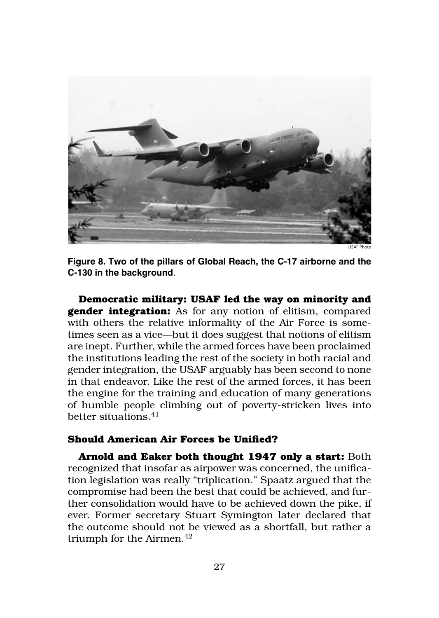

USAF Photo

**Figure 8. Two of the pillars of Global Reach, the C-17 airborne and the C-130 in the background**.

**Democratic military: USAF led the way on minority and gender integration:** As for any notion of elitism, compared with others the relative informality of the Air Force is sometimes seen as a vice—but it does suggest that notions of elitism are inept. Further, while the armed forces have been proclaimed the institutions leading the rest of the society in both racial and gender integration, the USAF arguably has been second to none in that endeavor. Like the rest of the armed forces, it has been the engine for the training and education of many generations of humble people climbing out of poverty-stricken lives into better situations  $41$ 

#### **Should American Air Forces be Unified?**

**Arnold and Eaker both thought 1947 only a start:** Both recognized that insofar as airpower was concerned, the unification legislation was really "triplication." Spaatz argued that the compromise had been the best that could be achieved, and further consolidation would have to be achieved down the pike, if ever. Former secretary Stuart Symington later declared that the outcome should not be viewed as a shortfall, but rather a triumph for the Airmen. $42$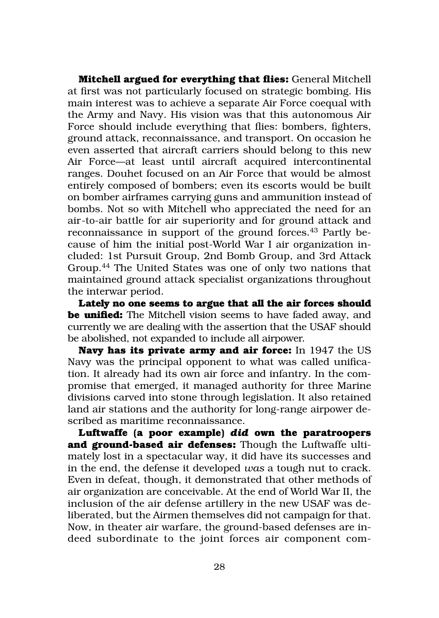**Mitchell argued for everything that flies:** General Mitchell at first was not particularly focused on strategic bombing. His main interest was to achieve a separate Air Force coequal with the Army and Navy. His vision was that this autonomous Air Force should include everything that flies: bombers, fighters, ground attack, reconnaissance, and transport. On occasion he even asserted that aircraft carriers should belong to this new Air Force—at least until aircraft acquired intercontinental ranges. Douhet focused on an Air Force that would be almost entirely composed of bombers; even its escorts would be built on bomber airframes carrying guns and ammunition instead of bombs. Not so with Mitchell who appreciated the need for an air-to-air battle for air superiority and for ground attack and reconnaissance in support of the ground forces.<sup>43</sup> Partly because of him the initial post-World War I air organization included: 1st Pursuit Group, 2nd Bomb Group, and 3rd Attack Group.44 The United States was one of only two nations that maintained ground attack specialist organizations throughout the interwar period.

**Lately no one seems to argue that all the air forces should be unified:** The Mitchell vision seems to have faded away, and currently we are dealing with the assertion that the USAF should be abolished, not expanded to include all airpower.

**Navy has its private army and air force:** In 1947 the US Navy was the principal opponent to what was called unification. It already had its own air force and infantry. In the compromise that emerged, it managed authority for three Marine divisions carved into stone through legislation. It also retained land air stations and the authority for long-range airpower described as maritime reconnaissance.

**Luftwaffe (a poor example)** *did* **own the paratroopers and ground-based air defenses:** Though the Luftwaffe ultimately lost in a spectacular way, it did have its successes and in the end, the defense it developed *was* a tough nut to crack. Even in defeat, though, it demonstrated that other methods of air organization are conceivable. At the end of World War II, the inclusion of the air defense artillery in the new USAF was deliberated, but the Airmen themselves did not campaign for that. Now, in theater air warfare, the ground-based defenses are indeed subordinate to the joint forces air component com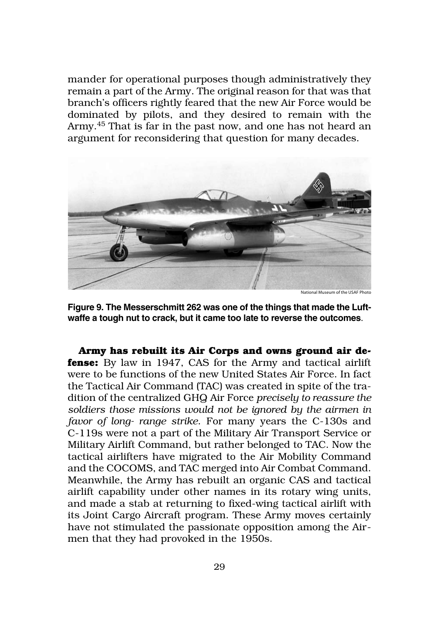mander for operational purposes though administratively they remain a part of the Army. The original reason for that was that branch's officers rightly feared that the new Air Force would be dominated by pilots, and they desired to remain with the Army.45 That is far in the past now, and one has not heard an argument for reconsidering that question for many decades.



**Figure 9. The Messerschmitt 262 was one of the things that made the Luftwaffe a tough nut to crack, but it came too late to reverse the outcomes**.

**Army has rebuilt its Air Corps and owns ground air defense:** By law in 1947, CAS for the Army and tactical airlift were to be functions of the new United States Air Force. In fact the Tactical Air Command (TAC) was created in spite of the tradition of the centralized GHQ Air Force *precisely to reassure the soldiers those missions would not be ignored by the airmen in favor of long- range strike*. For many years the C-130s and C‑119s were not a part of the Military Air Transport Service or Military Airlift Command, but rather belonged to TAC. Now the tactical airlifters have migrated to the Air Mobility Command and the COCOMS, and TAC merged into Air Combat Command. Meanwhile, the Army has rebuilt an organic CAS and tactical airlift capability under other names in its rotary wing units, and made a stab at returning to fixed-wing tactical airlift with its Joint Cargo Aircraft program. These Army moves certainly have not stimulated the passionate opposition among the Airmen that they had provoked in the 1950s.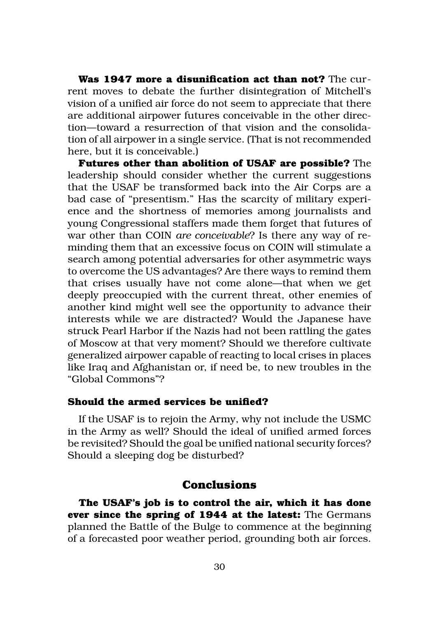**Was 1947 more a disunification act than not?** The current moves to debate the further disintegration of Mitchell's vision of a unified air force do not seem to appreciate that there are additional airpower futures conceivable in the other direction—toward a resurrection of that vision and the consolidation of all airpower in a single service. (That is not recommended here, but it is conceivable.)

**Futures other than abolition of USAF are possible?** The leadership should consider whether the current suggestions that the USAF be transformed back into the Air Corps are a bad case of "presentism." Has the scarcity of military experience and the shortness of memories among journalists and young Congressional staffers made them forget that futures of war other than COIN *are conceivable*? Is there any way of reminding them that an excessive focus on COIN will stimulate a search among potential adversaries for other asymmetric ways to overcome the US advantages? Are there ways to remind them that crises usually have not come alone—that when we get deeply preoccupied with the current threat, other enemies of another kind might well see the opportunity to advance their interests while we are distracted? Would the Japanese have struck Pearl Harbor if the Nazis had not been rattling the gates of Moscow at that very moment? Should we therefore cultivate generalized airpower capable of reacting to local crises in places like Iraq and Afghanistan or, if need be, to new troubles in the "Global Commons"?

#### **Should the armed services be unified?**

If the USAF is to rejoin the Army, why not include the USMC in the Army as well? Should the ideal of unified armed forces be revisited? Should the goal be unified national security forces? Should a sleeping dog be disturbed?

#### **Conclusions**

**The USAF's job is to control the air, which it has done ever since the spring of 1944 at the latest:** The Germans planned the Battle of the Bulge to commence at the beginning of a forecasted poor weather period, grounding both air forces.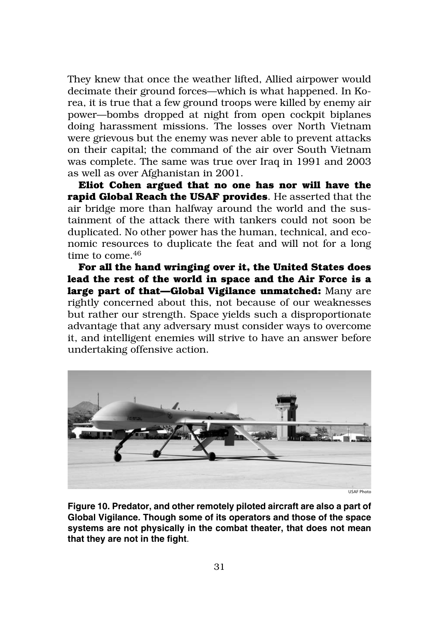They knew that once the weather lifted, Allied airpower would decimate their ground forces—which is what happened. In Korea, it is true that a few ground troops were killed by enemy air power—bombs dropped at night from open cockpit biplanes doing harassment missions. The losses over North Vietnam were grievous but the enemy was never able to prevent attacks on their capital; the command of the air over South Vietnam was complete. The same was true over Iraq in 1991 and 2003 as well as over Afghanistan in 2001.

**Eliot Cohen argued that no one has nor will have the rapid Global Reach the USAF provides**. He asserted that the air bridge more than halfway around the world and the sustainment of the attack there with tankers could not soon be duplicated. No other power has the human, technical, and economic resources to duplicate the feat and will not for a long time to come.46

**For all the hand wringing over it, the United States does lead the rest of the world in space and the Air Force is a large part of that—Global Vigilance unmatched:** Many are rightly concerned about this, not because of our weaknesses but rather our strength. Space yields such a disproportionate advantage that any adversary must consider ways to overcome it, and intelligent enemies will strive to have an answer before undertaking offensive action.



USAF Photo

**Figure 10. Predator, and other remotely piloted aircraft are also a part of Global Vigilance. Though some of its operators and those of the space systems are not physically in the combat theater, that does not mean that they are not in the fight**.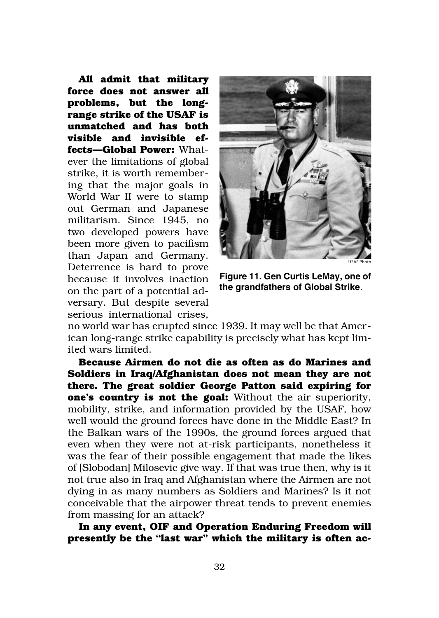**All admit that military force does not answer all problems, but the longrange strike of the USAF is unmatched and has both visible and invisible effects—Global Power:** Whatever the limitations of global strike, it is worth remembering that the major goals in World War II were to stamp out German and Japanese militarism. Since 1945, no two developed powers have been more given to pacifism than Japan and Germany. Deterrence is hard to prove because it involves inaction on the part of a potential adversary. But despite several serious international crises,



**Figure 11. Gen Curtis LeMay, one of the grandfathers of Global Strike**.

no world war has erupted since 1939. It may well be that American long-range strike capability is precisely what has kept limited wars limited.

**Because Airmen do not die as often as do Marines and Soldiers in Iraq/Afghanistan does not mean they are not there. The great soldier George Patton said expiring for one's country is not the goal:** Without the air superiority, mobility, strike, and information provided by the USAF, how well would the ground forces have done in the Middle East? In the Balkan wars of the 1990s, the ground forces argued that even when they were not at-risk participants, nonetheless it was the fear of their possible engagement that made the likes of [Slobodan] Milosevic give way. If that was true then, why is it not true also in Iraq and Afghanistan where the Airmen are not dying in as many numbers as Soldiers and Marines? Is it not conceivable that the airpower threat tends to prevent enemies from massing for an attack?

**In any event, OIF and Operation Enduring Freedom will presently be the "last war" which the military is often ac-**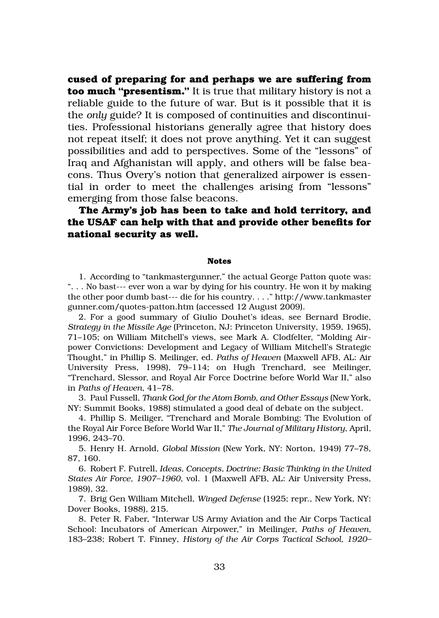**cused of preparing for and perhaps we are suffering from too much "presentism."** It is true that military history is not a reliable guide to the future of war. But is it possible that it is the *only* guide? It is composed of continuities and discontinuities. Professional historians generally agree that history does not repeat itself; it does not prove anything. Yet it can suggest possibilities and add to perspectives. Some of the "lessons" of Iraq and Afghanistan will apply, and others will be false beacons. Thus Overy's notion that generalized airpower is essential in order to meet the challenges arising from "lessons" emerging from those false beacons.

#### **The Army's job has been to take and hold territory, and the USAF can help with that and provide other benefits for national security as well.**

#### **Notes**

1. According to "tankmastergunner," the actual George Patton quote was: ". . . No bast--- ever won a war by dying for his country. He won it by making the other poor dumb bast--- die for his country. . . ." http://www.tankmaster gunner.com/quotes-patton.htm (accessed 12 August 2009).

2. For a good summary of Giulio Douhet's ideas, see Bernard Brodie, *Strategy in the Missile Age* (Princeton, NJ: Princeton University, 1959, 1965), 71–105; on William Mitchell's views, see Mark A. Clodfelter, "Molding Airpower Convictions: Development and Legacy of William Mitchell's Strategic Thought," in Phillip S. Meilinger, ed. *Paths of Heaven* (Maxwell AFB, AL: Air University Press, 1998), 79–114; on Hugh Trenchard, see Meilinger, "Trenchard, Slessor, and Royal Air Force Doctrine before World War II," also in *Paths of Heaven*, 41–78.

3. Paul Fussell, *Thank God for the Atom Bomb, and Other Essays* (New York, NY: Summit Books, 1988) stimulated a good deal of debate on the subject.

4. Phillip S. Meiliger, "Trenchard and Morale Bombing: The Evolution of the Royal Air Force Before World War II," *The Journal of Military History*, April, 1996, 243–70.

5. Henry H. Arnold, *Global Mission* (New York, NY: Norton, 1949) 77–78, 87, 160.

6. Robert F. Futrell, *Ideas, Concepts, Doctrine: Basic Thinking in the United States Air Force, 1907–1960*, vol. 1 (Maxwell AFB, AL: Air University Press, 1989), 32.

7. Brig Gen William Mitchell, *Winged Defense* (1925; repr., New York, NY: Dover Books, 1988), 215.

8. Peter R. Faber, "Interwar US Army Aviation and the Air Corps Tactical School: Incubators of American Airpower," in Meilinger, *Paths of Heaven*, 183–238; Robert T. Finney, *History of the Air Corps Tactical School, 1920–*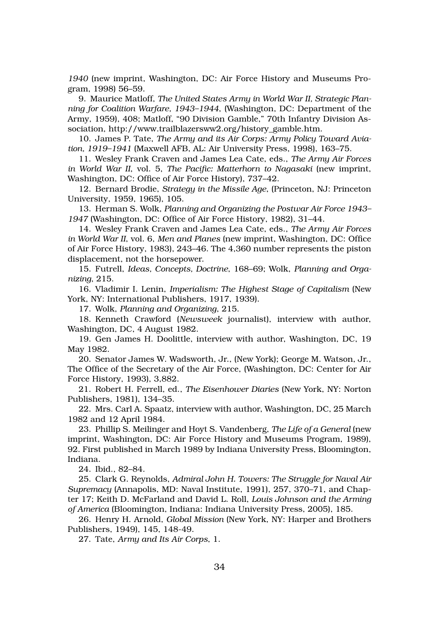*1940* (new imprint, Washington, DC: Air Force History and Museums Program, 1998) 56–59.

9. Maurice Matloff, *The United States Army in World War II, Strategic Planning for Coalition Warfare, 1943–1944*, (Washington, DC: Department of the Army, 1959), 408; Matloff, "90 Division Gamble," 70th Infantry Division Association, http://www.trailblazersww2.org/history\_gamble.htm.

10. James P. Tate, *The Army and its Air Corps: Army Policy Toward Aviation, 1919–1941* (Maxwell AFB, AL: Air University Press, 1998), 163–75.

11. Wesley Frank Craven and James Lea Cate, eds., *The Army Air Forces in World War II*, vol. 5, *The Pacific: Matterhorn to Nagasaki* (new imprint, Washington, DC: Office of Air Force History), 737–42.

12. Bernard Brodie, *Strategy in the Missile Age*, (Princeton, NJ: Princeton University, 1959, 1965), 105.

13. Herman S. Wolk, *Planning and Organizing the Postwar Air Force 1943– 1947* (Washington, DC: Office of Air Force History, 1982), 31–44.

14. Wesley Frank Craven and James Lea Cate, eds., *The Army Air Forces in World War II*, vol. 6, *Men and Planes* (new imprint, Washington, DC: Office of Air Force History, 1983), 243–46. The 4,360 number represents the piston displacement, not the horsepower.

15. Futrell, *Ideas, Concepts, Doctrine*, 168–69; Wolk, *Planning and Organizing*, 215.

16. Vladimir I. Lenin, *Imperialism: The Highest Stage of Capitalism* (New York, NY: International Publishers, 1917, 1939).

17. Wolk, *Planning and Organizing*, 215.

18. Kenneth Crawford (*Newsweek* journalist), interview with author, Washington, DC, 4 August 1982.

19. Gen James H. Doolittle, interview with author, Washington, DC, 19 May 1982.

20. Senator James W. Wadsworth, Jr., (New York); George M. Watson, Jr., The Office of the Secretary of the Air Force, (Washington, DC: Center for Air Force History, 1993), 3,882.

21. Robert H. Ferrell, ed., *The Eisenhower Diaries* (New York, NY: Norton Publishers, 1981), 134–35.

22. Mrs. Carl A. Spaatz, interview with author, Washington, DC, 25 March 1982 and 12 April 1984.

23. Phillip S. Meilinger and Hoyt S. Vandenberg, *The Life of a General* (new imprint, Washington, DC: Air Force History and Museums Program, 1989), 92. First published in March 1989 by Indiana University Press, Bloomington, Indiana.

24. Ibid., 82–84.

25. Clark G. Reynolds, *Admiral John H. Towers: The Struggle for Naval Air Supremacy* (Annapolis, MD: Naval Institute, 1991), 257, 370–71, and Chapter 17; Keith D. McFarland and David L. Roll, *Louis Johnson and the Arming of America* (Bloomington, Indiana: Indiana University Press, 2005), 185.

26. Henry H. Arnold, *Global Mission* (New York, NY: Harper and Brothers Publishers, 1949), 145, 148-49.

27. Tate, *Army and Its Air Corps*, 1.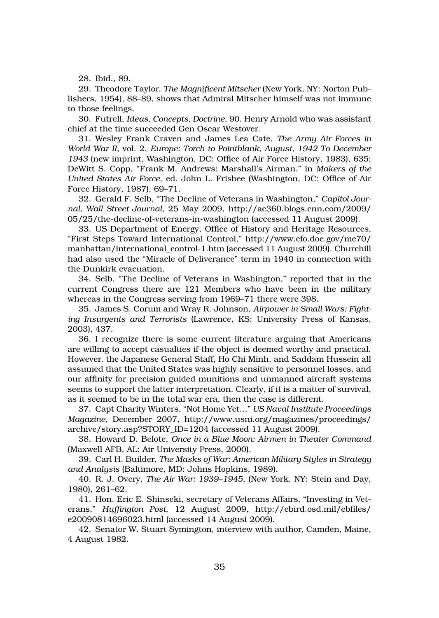28. Ibid., 89.

29. Theodore Taylor, *The Magnificent Mitscher* (New York, NY: Norton Publishers, 1954), 88–89, shows that Admiral Mitscher himself was not immune to those feelings.

30. Futrell, *Ideas, Concepts, Doctrine*, 90. Henry Arnold who was assistant chief at the time succeeded Gen Oscar Westover.

31. Wesley Frank Craven and James Lea Cate, *The Army Air Forces in World War II*, vol. 2, *Europe: Torch to Pointblank, August, 1942 To December 1943* (new imprint, Washington, DC: Office of Air Force History, 1983), 635; DeWitt S. Copp, "Frank M. Andrews: Marshall's Airman." in *Makers of the United States Air Force*, ed. John L. Frisbee (Washington, DC: Office of Air Force History, 1987), 69–71.

32. Gerald F. Selb, "The Decline of Veterans in Washington," *Capitol Journal, Wall Street Journal*, 25 May 2009, http://ac360.blogs.cnn.com/2009/ 05/25/the-decline-of-veterans-in-washington (accessed 11 August 2009).

33. US Department of Energy, Office of History and Heritage Resources, "First Steps Toward International Control," http://www.cfo.doe.gov/me70/ manhattan/international\_control-1.htm (accessed 11 August 2009). Churchill had also used the "Miracle of Deliverance" term in 1940 in connection with the Dunkirk evacuation.

34. Selb, "The Decline of Veterans in Washington," reported that in the current Congress there are 121 Members who have been in the military whereas in the Congress serving from 1969–71 there were 398.

35. James S. Corum and Wray R. Johnson, *Airpower in Small Wars: Fighting Insurgents and Terrorists* (Lawrence, KS: University Press of Kansas, 2003), 437.

36. I recognize there is some current literature arguing that Americans are willing to accept casualties if the object is deemed worthy and practical. However, the Japanese General Staff, Ho Chi Minh, and Saddam Hussein all assumed that the United States was highly sensitive to personnel losses, and our affinity for precision guided munitions and unmanned aircraft systems seems to support the latter interpretation. Clearly, if it is a matter of survival, as it seemed to be in the total war era, then the case is different.

37. Capt Charity Winters, "Not Home Yet…" *US Naval Institute Proceedings Magazine*, December 2007, http://www.usni.org/magazines/proceedings/ archive/story.asp?STORY\_ID=1204 (accessed 11 August 2009).

38. Howard D. Belote, *Once in a Blue Moon: Airmen in Theater Command* (Maxwell AFB, AL: Air University Press, 2000).

39. Carl H. Builder, *The Masks of War: American Military Styles in Strategy and Analysis* (Baltimore, MD: Johns Hopkins, 1989).

40. R. J. Overy, *The Air War: 1939–1945*, (New York, NY: Stein and Day, 1980), 261–62.

41. Hon. Eric E. Shinseki, secretary of Veterans Affairs, "Investing in Veterans," *Huffington Post*, 12 August 2009, http://ebird.osd.mil/ebfiles/ e20090814696023.html (accessed 14 August 2009).

42. Senator W. Stuart Symington, interview with author, Camden, Maine, 4 August 1982.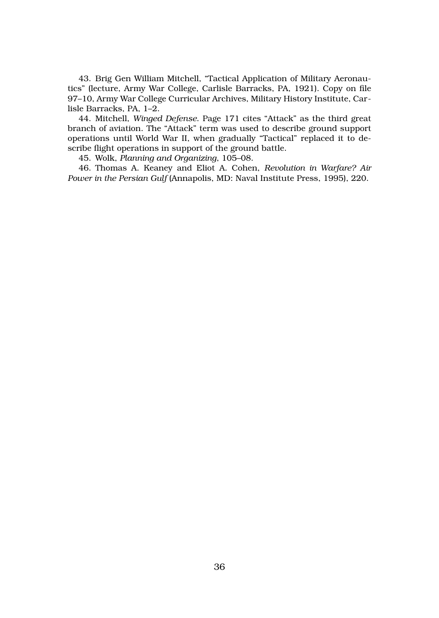43. Brig Gen William Mitchell, "Tactical Application of Military Aeronautics" (lecture, Army War College, Carlisle Barracks, PA, 1921). Copy on file 97–10, Army War College Curricular Archives, Military History Institute, Carlisle Barracks, PA, 1–2.

44. Mitchell, *Winged Defense*. Page 171 cites "Attack" as the third great branch of aviation. The "Attack" term was used to describe ground support operations until World War II, when gradually "Tactical" replaced it to describe flight operations in support of the ground battle.

45. Wolk, *Planning and Organizing*, 105–08.

46. Thomas A. Keaney and Eliot A. Cohen, *Revolution in Warfare? Air Power in the Persian Gulf* (Annapolis, MD: Naval Institute Press, 1995), 220.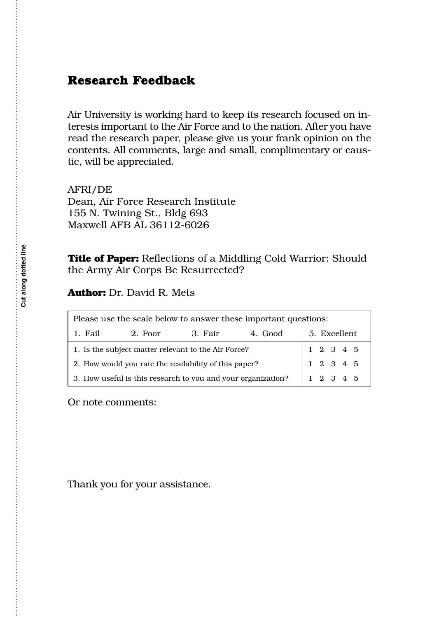## **Research Feedback**

Air University is working hard to keep its research focused on interests important to the Air Force and to the nation. After you have read the research paper, please give us your frank opinion on the contents. All comments, large and small, complimentary or caustic, will be appreciated.

AFRI/DE Dean, Air Force Research Institute 155 N. Twining St., Bldg 693 Maxwell AFB AL 36112-6026

**Title of Paper:** Reflections of a Middling Cold Warrior: Should the Army Air Corps Be Resurrected?

**Author:** Dr. David R. Mets

| Please use the scale below to answer these important questions: |         |         |         |                                                                                                          |
|-----------------------------------------------------------------|---------|---------|---------|----------------------------------------------------------------------------------------------------------|
| 1. Fail                                                         | 2. Poor | 3. Fair | 4. Good | 5. Excellent                                                                                             |
| 1. Is the subject matter relevant to the Air Force?             |         |         |         |                                                                                                          |
| 2. How would you rate the readability of this paper?            |         |         |         | $\begin{array}{ ccc } 1 & 2 & 3 & 4 & 5 \\ \hline 1 & 2 & 3 & 4 & 5 \\ 1 & 2 & 3 & 4 & 5 \\ \end{array}$ |
| 3. How useful is this research to you and your organization?    |         |         |         |                                                                                                          |

Or note comments:

Thank you for your assistance.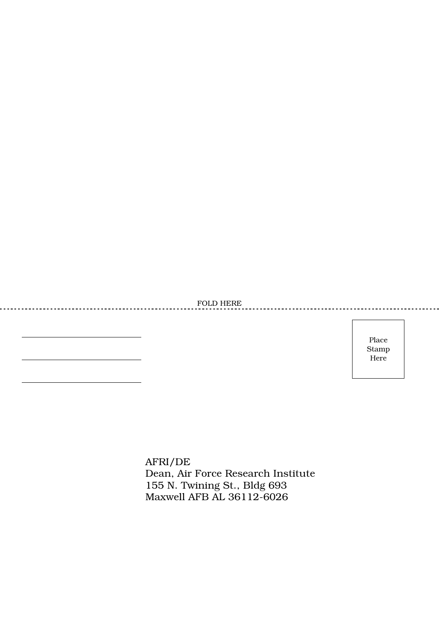FOLD HERE

<u>. . . . . . . . . . .</u>

Place Stamp Here

AFRI/DE Dean, Air Force Research Institute 155 N. Twining St., Bldg 693 Maxwell AFB AL 36112-6026